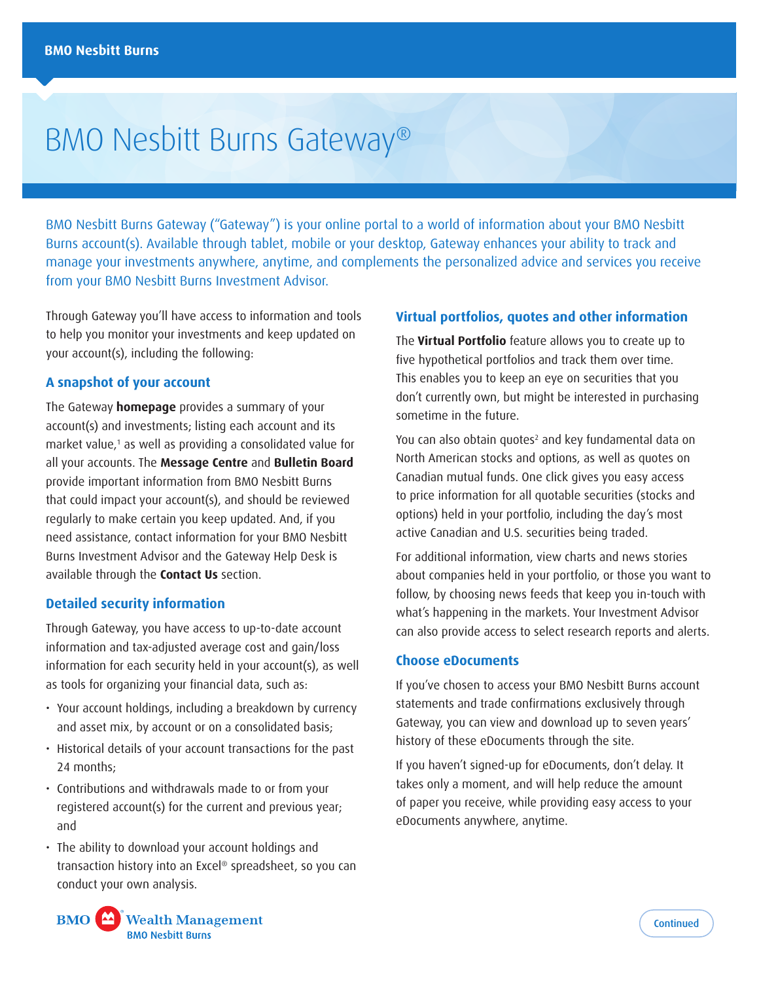# BMO Nesbitt Burns Gateway®

BMO Nesbitt Burns Gateway ("Gateway") is your online portal to a world of information about your BMO Nesbitt Burns account(s). Available through tablet, mobile or your desktop, Gateway enhances your ability to track and manage your investments anywhere, anytime, and complements the personalized advice and services you receive from your BMO Nesbitt Burns Investment Advisor.

Through Gateway you'll have access to information and tools to help you monitor your investments and keep updated on your account(s), including the following:

## **A snapshot of your account**

The Gateway **homepage** provides a summary of your account(s) and investments; listing each account and its market value,<sup>1</sup> as well as providing a consolidated value for all your accounts. The **Message Centre** and **Bulletin Board**  provide important information from BMO Nesbitt Burns that could impact your account(s), and should be reviewed regularly to make certain you keep updated. And, if you need assistance, contact information for your BMO Nesbitt Burns Investment Advisor and the Gateway Help Desk is available through the **Contact Us** section.

#### **Detailed security information**

Through Gateway, you have access to up-to-date account information and tax-adjusted average cost and gain/loss information for each security held in your account(s), as well as tools for organizing your financial data, such as:

- Your account holdings, including a breakdown by currency and asset mix, by account or on a consolidated basis;
- Historical details of your account transactions for the past 24 months;
- Contributions and withdrawals made to or from your registered account(s) for the current and previous year; and
- The ability to download your account holdings and transaction history into an Excel® spreadsheet, so you can conduct your own analysis.

## **Virtual portfolios, quotes and other information**

The **Virtual Portfolio** feature allows you to create up to five hypothetical portfolios and track them over time. This enables you to keep an eye on securities that you don't currently own, but might be interested in purchasing sometime in the future.

You can also obtain quotes<sup>2</sup> and key fundamental data on North American stocks and options, as well as quotes on Canadian mutual funds. One click gives you easy access to price information for all quotable securities (stocks and options) held in your portfolio, including the day's most active Canadian and U.S. securities being traded.

For additional information, view charts and news stories about companies held in your portfolio, or those you want to follow, by choosing news feeds that keep you in-touch with what's happening in the markets. Your Investment Advisor can also provide access to select research reports and alerts.

## **Choose eDocuments**

If you've chosen to access your BMO Nesbitt Burns account statements and trade confirmations exclusively through Gateway, you can view and download up to seven years' history of these eDocuments through the site.

If you haven't signed-up for eDocuments, don't delay. It takes only a moment, and will help reduce the amount of paper you receive, while providing easy access to your eDocuments anywhere, anytime.